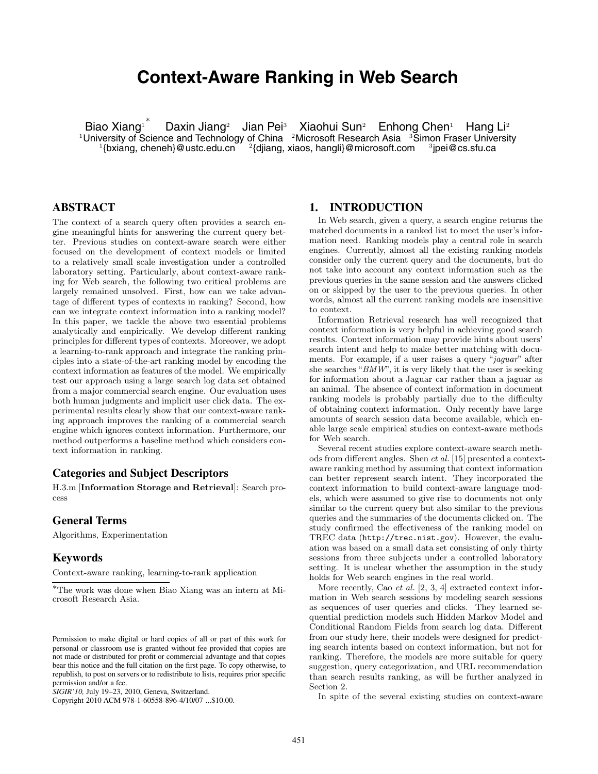# **Context-Aware Ranking in Web Search**

Biao Xiang<sup>1</sup> Daxin Jiang<sup>2</sup> Jian Pei<sup>3</sup> Xiaohui Sun<sup>2</sup> Enhong Chen<sup>1</sup> Hang Li<sup>2</sup> <sup>1</sup>University of Science and Technology of China <sup>2</sup>Microsoft Research Asia <sup>3</sup>Simon Fraser University 1{bxiang, cheneh}@ustc.edu.cn <sup>2</sup>{djiang, xiaos, hangli}@microsoft.com <sup>3</sup>jpei@cs.sfu.ca

# **ABSTRACT**

The context of a search query often provides a search engine meaningful hints for answering the current query better. Previous studies on context-aware search were either focused on the development of context models or limited to a relatively small scale investigation under a controlled laboratory setting. Particularly, about context-aware ranking for Web search, the following two critical problems are largely remained unsolved. First, how can we take advantage of different types of contexts in ranking? Second, how can we integrate context information into a ranking model? In this paper, we tackle the above two essential problems analytically and empirically. We develop different ranking principles for different types of contexts. Moreover, we adopt a learning-to-rank approach and integrate the ranking principles into a state-of-the-art ranking model by encoding the context information as features of the model. We empirically test our approach using a large search log data set obtained from a major commercial search engine. Our evaluation uses both human judgments and implicit user click data. The experimental results clearly show that our context-aware ranking approach improves the ranking of a commercial search engine which ignores context information. Furthermore, our method outperforms a baseline method which considers context information in ranking.

# **Categories and Subject Descriptors**

H.3.m [**Information Storage and Retrieval**]: Search process

# **General Terms**

Algorithms, Experimentation

## **Keywords**

Context-aware ranking, learning-to-rank application

Copyright 2010 ACM 978-1-60558-896-4/10/07 ...\$10.00.

# **1. INTRODUCTION**

In Web search, given a query, a search engine returns the matched documents in a ranked list to meet the user's information need. Ranking models play a central role in search engines. Currently, almost all the existing ranking models consider only the current query and the documents, but do not take into account any context information such as the previous queries in the same session and the answers clicked on or skipped by the user to the previous queries. In other words, almost all the current ranking models are insensitive to context.

Information Retrieval research has well recognized that context information is very helpful in achieving good search results. Context information may provide hints about users' search intent and help to make better matching with documents. For example, if a user raises a query "*jaguar*" after she searches "*BMW*", it is very likely that the user is seeking for information about a Jaguar car rather than a jaguar as an animal. The absence of context information in document ranking models is probably partially due to the difficulty of obtaining context information. Only recently have large amounts of search session data become available, which enable large scale empirical studies on context-aware methods for Web search.

Several recent studies explore context-aware search methods from different angles. Shen *et al.* [15] presented a contextaware ranking method by assuming that context information can better represent search intent. They incorporated the context information to build context-aware language models, which were assumed to give rise to documents not only similar to the current query but also similar to the previous queries and the summaries of the documents clicked on. The study confirmed the effectiveness of the ranking model on TREC data (http://trec.nist.gov). However, the evaluation was based on a small data set consisting of only thirty sessions from three subjects under a controlled laboratory setting. It is unclear whether the assumption in the study holds for Web search engines in the real world.

More recently, Cao *et al.* [2, 3, 4] extracted context information in Web search sessions by modeling search sessions as sequences of user queries and clicks. They learned sequential prediction models such Hidden Markov Model and Conditional Random Fields from search log data. Different from our study here, their models were designed for predicting search intents based on context information, but not for ranking. Therefore, the models are more suitable for query suggestion, query categorization, and URL recommendation than search results ranking, as will be further analyzed in Section 2.

In spite of the several existing studies on context-aware

<sup>∗</sup>The work was done when Biao Xiang was an intern at Microsoft Research Asia.

Permission to make digital or hard copies of all or part of this work for personal or classroom use is granted without fee provided that copies are not made or distributed for profit or commercial advantage and that copies bear this notice and the full citation on the first page. To copy otherwise, to republish, to post on servers or to redistribute to lists, requires prior specific permission and/or a fee.

*SIGIR'10,* July 19–23, 2010, Geneva, Switzerland.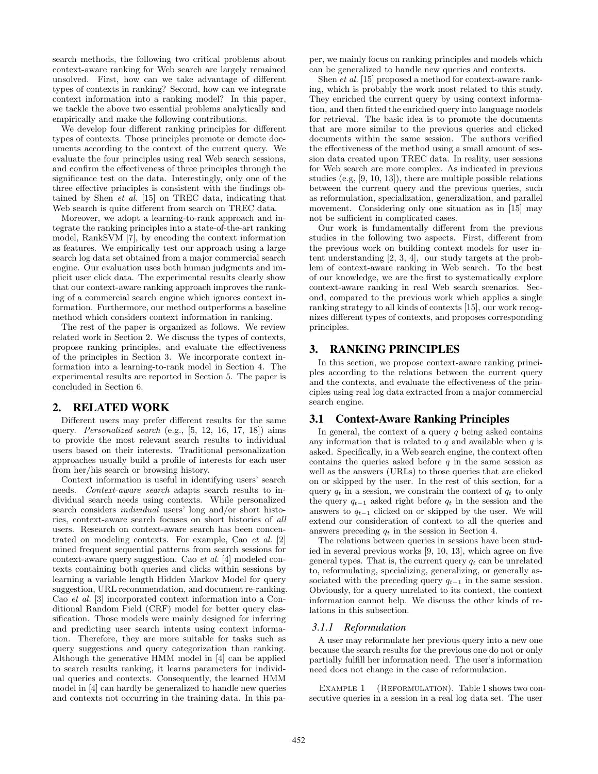search methods, the following two critical problems about context-aware ranking for Web search are largely remained unsolved. First, how can we take advantage of different types of contexts in ranking? Second, how can we integrate context information into a ranking model? In this paper, we tackle the above two essential problems analytically and empirically and make the following contributions.

We develop four different ranking principles for different types of contexts. Those principles promote or demote documents according to the context of the current query. We evaluate the four principles using real Web search sessions, and confirm the effectiveness of three principles through the significance test on the data. Interestingly, only one of the three effective principles is consistent with the findings obtained by Shen *et al.* [15] on TREC data, indicating that Web search is quite different from search on TREC data.

Moreover, we adopt a learning-to-rank approach and integrate the ranking principles into a state-of-the-art ranking model, RankSVM [7], by encoding the context information as features. We empirically test our approach using a large search log data set obtained from a major commercial search engine. Our evaluation uses both human judgments and implicit user click data. The experimental results clearly show that our context-aware ranking approach improves the ranking of a commercial search engine which ignores context information. Furthermore, our method outperforms a baseline method which considers context information in ranking.

The rest of the paper is organized as follows. We review related work in Section 2. We discuss the types of contexts, propose ranking principles, and evaluate the effectiveness of the principles in Section 3. We incorporate context information into a learning-to-rank model in Section 4. The experimental results are reported in Section 5. The paper is concluded in Section 6.

#### **2. RELATED WORK**

Different users may prefer different results for the same query. *Personalized search* (e.g., [5, 12, 16, 17, 18]) aims to provide the most relevant search results to individual users based on their interests. Traditional personalization approaches usually build a profile of interests for each user from her/his search or browsing history.

Context information is useful in identifying users' search needs. *Context-aware search* adapts search results to individual search needs using contexts. While personalized search considers *individual* users' long and/or short histories, context-aware search focuses on short histories of *all* users. Research on context-aware search has been concentrated on modeling contexts. For example, Cao *et al.* [2] mined frequent sequential patterns from search sessions for context-aware query suggestion. Cao *et al.* [4] modeled contexts containing both queries and clicks within sessions by learning a variable length Hidden Markov Model for query suggestion, URL recommendation, and document re-ranking. Cao *et al.* [3] incorporated context information into a Conditional Random Field (CRF) model for better query classification. Those models were mainly designed for inferring and predicting user search intents using context information. Therefore, they are more suitable for tasks such as query suggestions and query categorization than ranking. Although the generative HMM model in [4] can be applied to search results ranking, it learns parameters for individual queries and contexts. Consequently, the learned HMM model in [4] can hardly be generalized to handle new queries and contexts not occurring in the training data. In this paper, we mainly focus on ranking principles and models which can be generalized to handle new queries and contexts.

Shen *et al.* [15] proposed a method for context-aware ranking, which is probably the work most related to this study. They enriched the current query by using context information, and then fitted the enriched query into language models for retrieval. The basic idea is to promote the documents that are more similar to the previous queries and clicked documents within the same session. The authors verified the effectiveness of the method using a small amount of session data created upon TREC data. In reality, user sessions for Web search are more complex. As indicated in previous studies (e.g, [9, 10, 13]), there are multiple possible relations between the current query and the previous queries, such as reformulation, specialization, generalization, and parallel movement. Considering only one situation as in [15] may not be sufficient in complicated cases.

Our work is fundamentally different from the previous studies in the following two aspects. First, different from the previous work on building context models for user intent understanding [2, 3, 4], our study targets at the problem of context-aware ranking in Web search. To the best of our knowledge, we are the first to systematically explore context-aware ranking in real Web search scenarios. Second, compared to the previous work which applies a single ranking strategy to all kinds of contexts [15], our work recognizes different types of contexts, and proposes corresponding principles.

## **3. RANKING PRINCIPLES**

In this section, we propose context-aware ranking principles according to the relations between the current query and the contexts, and evaluate the effectiveness of the principles using real log data extracted from a major commercial search engine.

#### **3.1 Context-Aware Ranking Principles**

In general, the context of a query  $q$  being asked contains any information that is related to  $q$  and available when  $q$  is asked. Specifically, in a Web search engine, the context often contains the queries asked before  $q$  in the same session as well as the answers (URLs) to those queries that are clicked on or skipped by the user. In the rest of this section, for a query  $q_t$  in a session, we constrain the context of  $q_t$  to only the query  $q_{t-1}$  asked right before  $q_t$  in the session and the answers to  $q_{t-1}$  clicked on or skipped by the user. We will extend our consideration of context to all the queries and answers preceding  $q_t$  in the session in Section 4.

The relations between queries in sessions have been studied in several previous works [9, 10, 13], which agree on five general types. That is, the current query  $q_t$  can be unrelated to, reformulating, specializing, generalizing, or generally associated with the preceding query  $q_{t-1}$  in the same session. Obviously, for a query unrelated to its context, the context information cannot help. We discuss the other kinds of relations in this subsection.

#### *3.1.1 Reformulation*

A user may reformulate her previous query into a new one because the search results for the previous one do not or only partially fulfill her information need. The user's information need does not change in the case of reformulation.

EXAMPLE 1 (REFORMULATION). Table 1 shows two consecutive queries in a session in a real log data set. The user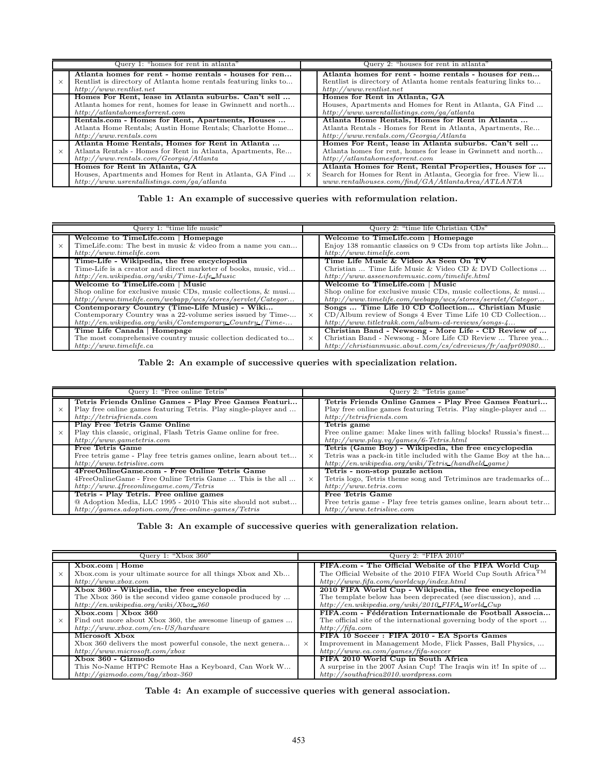|          | Query 1: "homes for rent in atlanta"                                                                                                                       |          | Query 2: "houses for rent in atlanta"                                                                                                                                          |
|----------|------------------------------------------------------------------------------------------------------------------------------------------------------------|----------|--------------------------------------------------------------------------------------------------------------------------------------------------------------------------------|
| $\times$ | Atlanta homes for rent - home rentals - houses for ren<br>Rentlist is directory of Atlanta home rentals featuring links to<br>http://www.rentlist.net      |          | Atlanta homes for rent - home rentals - houses for ren<br>Rentlist is directory of Atlanta home rentals featuring links to<br>http://www.rentlist.net                          |
|          | Homes For Rent, lease in Atlanta suburbs. Can't sell<br>Atlanta homes for rent, homes for lease in Gwinnett and north<br>http://atlantahomes forrent.com   |          | Homes for Rent in Atlanta, GA<br>Houses, Apartments and Homes for Rent in Atlanta, GA Find<br>$http://www.usrentallistings.com/ga/atlanta$                                     |
|          | Rentals.com - Homes for Rent, Apartments, Houses<br>Atlanta Home Rentals; Austin Home Rentals; Charlotte Home<br>http://www.rentals.com                    |          | Atlanta Home Rentals, Homes for Rent in Atlanta<br>Atlanta Rentals - Homes for Rent in Atlanta, Apartments, Re<br>$http://www.rentals.com/Georgia/Atlanta$                     |
| $\times$ | Atlanta Home Rentals, Homes for Rent in Atlanta<br>Atlanta Rentals - Homes for Rent in Atlanta, Apartments, Re<br>$http://www.rentals.com/Georgia/Atlanta$ |          | Homes For Rent, lease in Atlanta suburbs. Can't sell<br>Atlanta homes for rent, homes for lease in Gwinnett and north<br>http://atlantahomesforrent.com                        |
|          | Homes for Rent in Atlanta, GA<br>Houses, Apartments and Homes for Rent in Atlanta, GA Find<br>$http://www.usrentallistings.com/ga/atlanta$                 | $\times$ | Atlanta Homes for Rent, Rental Properties, Houses for<br>Search for Homes for Rent in Atlanta, Georgia for free. View li<br>$www.rentalhouses.com/find/GA/AtlantaArea/ATLANTA$ |

**Table 1: An example of successive queries with reformulation relation.**

| Query 1: "time life music"                                      |          | Query 2: "time life Christian CDs"                                |
|-----------------------------------------------------------------|----------|-------------------------------------------------------------------|
| Welcome to TimeLife.com   Homepage                              |          | Welcome to TimeLife.com   Homepage                                |
| TimeLife.com: The best in music & video from a name you can     |          | Enjoy 138 romantic classics on 9 CDs from top artists like John   |
| http://www.timelife.com                                         |          | http://www.timelife.com                                           |
| Time-Life - Wikipedia, the free encyclopedia                    |          | Time Life Music & Video As Seen On TV                             |
| Time-Life is a creator and direct marketer of books, music, vid |          | Christian  Time Life Music & Video CD & DVD Collections           |
| $http://en.wikipedia.org/wiki/Time-Life_Music$                  |          | $http://www.asseenontvmusic.com/timelife.html$                    |
| Welcome to TimeLife.com   Music                                 |          | Welcome to TimeLife.com   Music                                   |
| Shop online for exclusive music CDs, music collections, & musi  |          | Shop online for exclusive music CDs, music collections, $\&$ musi |
| $http://www.timelife.com/webapp/wcs/stores/serverlet/Category$  |          | $http://www.timelife.com/webapp/wcs/stores/service/Category.c.$   |
| Contemporary Country (Time-Life Music) - Wiki                   |          | Songs  Time Life 10 CD Collection Christian Music                 |
| Contemporary Country was a 22-volume series issued by Time-     | $\times$ | CD/Album review of Songs 4 Ever Time Life 10 CD Collection        |
| $http://en.wikipedia.org/wiki/Contemporary_Country_Time$        |          | $http://www.titletrakk.com/album-cd-reviews/songs-4$              |
| Time Life Canada   Homepage                                     |          | Christian Band - Newsong - More Life - CD Review of               |
| The most comprehensive country music collection dedicated to    | $\times$ | Christian Band - Newsong - More Life CD Review  Three yea         |
| http://www.timelife.ca                                          |          | $http://christian music.about.com/cs/cdreviews/fr/aa\ncapro9080$  |

|          | Query 1: "Free online Tetris"                                                                                                                                    | Query 2: "Tetris game" |                                                                                                                                                                                  |  |
|----------|------------------------------------------------------------------------------------------------------------------------------------------------------------------|------------------------|----------------------------------------------------------------------------------------------------------------------------------------------------------------------------------|--|
| $\times$ | Tetris Friends Online Games - Play Free Games Featuri<br>Play free online games featuring Tetris. Play single-player and<br>http://tetrisfriends.com             |                        | Tetris Friends Online Games - Play Free Games Featuri<br>Play free online games featuring Tetris. Play single-player and<br>http://tetrisfriends.com                             |  |
| $\times$ | Play Free Tetris Game Online<br>Play this classic, original, Flash Tetris Game online for free.<br>http://www.gametetris.com                                     |                        | Tetris game<br>Free online game: Make lines with falling blocks! Russia's finest<br>$http://www.play.vg/games/6-Tetris.html$                                                     |  |
|          | Free Tetris Game<br>Free tetris game - Play free tetris games online, learn about tet<br>http://www.tetrislive.com                                               | $\times$               | Tetris (Game Boy) - Wikipedia, the free encyclopedia<br>Tetris was a pack-in title included with the Game Boy at the ha<br>$http://en.wikipedia.org/wiki/Tetris_(handheld_game)$ |  |
|          | 4FreeOnlineGame.com - Free Online Tetris Game<br>4FreeOnlineGame - Free Online Tetris Game  This is the all<br>$http://www.4freeon line game.com/Tetris$         | $\times$               | Tetris - non-stop puzzle action<br>Tetris logo, Tetris theme song and Tetriminos are trademarks of<br>http://www.tetris.com                                                      |  |
|          | Tetris - Play Tetris. Free online games<br>@ Adoption Media, LLC 1995 - 2010 This site should not subst<br>$http://games. adoption.com/free-online-games/Tetris$ |                        | Free Tetris Game<br>Free tetris game - Play free tetris games online, learn about tetr<br>http://www.tetrislive.com                                                              |  |

|  |  |  |  |  | Table 3: An example of successive queries with generalization relation. |  |
|--|--|--|--|--|-------------------------------------------------------------------------|--|
|--|--|--|--|--|-------------------------------------------------------------------------|--|

|          | Query 1: "Xbox $360"$                                        |          | Query 2: "FIFA 2010"                                                       |
|----------|--------------------------------------------------------------|----------|----------------------------------------------------------------------------|
|          | Xbox.com   Home                                              |          | FIFA.com - The Official Website of the FIFA World Cup                      |
|          | Xbox.com is your ultimate source for all things Xbox and Xb  |          | The Official Website of the 2010 FIFA World Cup South Africa <sup>TM</sup> |
|          | http://www.xbox.com                                          |          | $http://www.fifa.com/worldcup/index.html$                                  |
|          | Xbox 360 - Wikipedia, the free encyclopedia                  |          | 2010 FIFA World Cup - Wikipedia, the free encyclopedia                     |
|          | The Xbox 360 is the second video game console produced by    |          | The template below has been deprecated (see discussion), and               |
|          | $http://en.wikipedia.org/wiki/Xbox_360$                      |          | $http://en.wikipedia.org/wiki/2010$ FIFA World Cup                         |
|          | $X$ box.com   $X$ box 360                                    |          | FIFA.com - Fédération Internationale de Football Associa                   |
| $\times$ | Find out more about Xbox 360, the awesome lineup of games    |          | The official site of the international governing body of the sport         |
|          | $http://www.xbox.com/en-US/hardware$                         |          | http://fifa.com                                                            |
|          | Microsoft Xbox                                               |          | FIFA 10 Soccer : FIFA 2010 - EA Sports Games                               |
|          | Xbox 360 delivers the most powerful console, the next genera | $\times$ | Improvement in Management Mode, Flick Passes, Ball Physics,                |
|          | http://www.microsoft.com/xbox                                |          | $http://www.ea.com/games/ffa-score$                                        |
|          | Xbox 360 - Gizmodo                                           |          | FIFA 2010 World Cup in South Africa                                        |
|          | This No-Name HTPC Remote Has a Keyboard, Can Work W          |          | A surprise in the 2007 Asian Cup! The Iraqis win it! In spite of           |
|          | $http://gizmdo.com/tag/xbox-360$                             |          | http://southafrica2010.wordpress.com                                       |

**Table 4: An example of successive queries with general association.**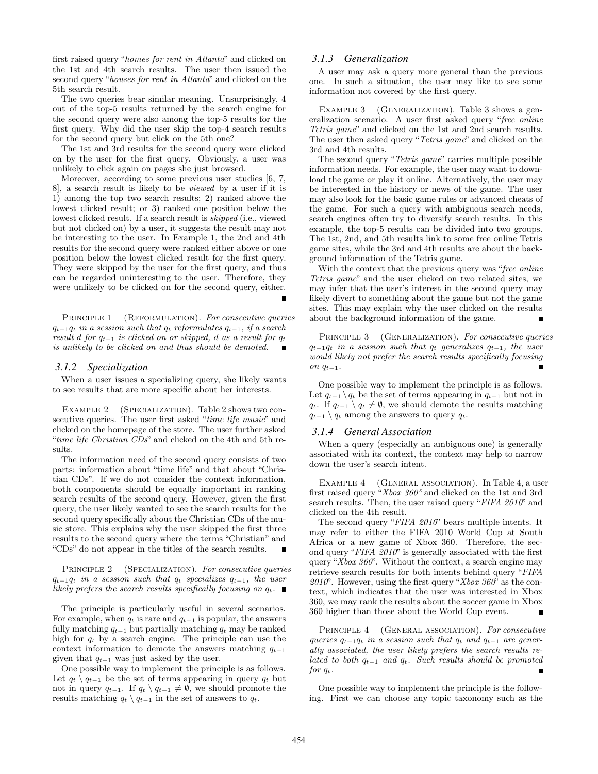first raised query "*homes for rent in Atlanta*" and clicked on the 1st and 4th search results. The user then issued the second query "*houses for rent in Atlanta*" and clicked on the 5th search result.

The two queries bear similar meaning. Unsurprisingly, 4 out of the top-5 results returned by the search engine for the second query were also among the top-5 results for the first query. Why did the user skip the top-4 search results for the second query but click on the 5th one?

The 1st and 3rd results for the second query were clicked on by the user for the first query. Obviously, a user was unlikely to click again on pages she just browsed.

Moreover, according to some previous user studies [6, 7, 8], a search result is likely to be *viewed* by a user if it is 1) among the top two search results; 2) ranked above the lowest clicked result; or 3) ranked one position below the lowest clicked result. If a search result is *skipped* (i.e., viewed but not clicked on) by a user, it suggests the result may not be interesting to the user. In Example 1, the 2nd and 4th results for the second query were ranked either above or one position below the lowest clicked result for the first query. They were skipped by the user for the first query, and thus can be regarded uninteresting to the user. Therefore, they were unlikely to be clicked on for the second query, either.

PRINCIPLE 1 (REFORMULATION). For consecutive queries  $q_{t-1}q_t$  *in a session such that*  $q_t$  *reformulates*  $q_{t-1}$ *, if a search result* d *for*  $q_{t-1}$  *is clicked on or skipped,* d *as a result for*  $q_t$ *is unlikely to be clicked on and thus should be demoted.*

#### *3.1.2 Specialization*

When a user issues a specializing query, she likely wants to see results that are more specific about her interests.

EXAMPLE 2 (SPECIALIZATION). Table 2 shows two consecutive queries. The user first asked "*time life music*" and clicked on the homepage of the store. The user further asked "*time life Christian CDs*" and clicked on the 4th and 5th results.

The information need of the second query consists of two parts: information about "time life" and that about "Christian CDs". If we do not consider the context information, both components should be equally important in ranking search results of the second query. However, given the first query, the user likely wanted to see the search results for the second query specifically about the Christian CDs of the music store. This explains why the user skipped the first three results to the second query where the terms "Christian" and "CDs" do not appear in the titles of the search results.

Principle 2 (Specialization). *For consecutive queries*  $q_{t-1}q_t$  *in a session such that*  $q_t$  *specializes*  $q_{t-1}$ *, the user likely prefers the search results specifically focusing on*  $q_t$ .

The principle is particularly useful in several scenarios. For example, when  $q_t$  is rare and  $q_{t-1}$  is popular, the answers fully matching  $q_{t-1}$  but partially matching  $q_t$  may be ranked high for  $q_t$  by a search engine. The principle can use the context information to demote the answers matching  $q_{t-1}$ given that  $q_{t-1}$  was just asked by the user.

One possible way to implement the principle is as follows. Let  $q_t \setminus q_{t-1}$  be the set of terms appearing in query  $q_t$  but not in query  $q_{t-1}$ . If  $q_t \setminus q_{t-1} \neq \emptyset$ , we should promote the results matching  $q_t \ \q q_{t-1}$  in the set of answers to  $q_t$ .

#### *3.1.3 Generalization*

A user may ask a query more general than the previous one. In such a situation, the user may like to see some information not covered by the first query.

EXAMPLE 3 (GENERALIZATION). Table 3 shows a generalization scenario. A user first asked query "*free online Tetris game*" and clicked on the 1st and 2nd search results. The user then asked query "*Tetris game*" and clicked on the 3rd and 4th results.

The second query "*Tetris game*" carries multiple possible information needs. For example, the user may want to download the game or play it online. Alternatively, the user may be interested in the history or news of the game. The user may also look for the basic game rules or advanced cheats of the game. For such a query with ambiguous search needs, search engines often try to diversify search results. In this example, the top-5 results can be divided into two groups. The 1st, 2nd, and 5th results link to some free online Tetris game sites, while the 3rd and 4th results are about the background information of the Tetris game.

With the context that the previous query was "*free online Tetris game*" and the user clicked on two related sites, we may infer that the user's interest in the second query may likely divert to something about the game but not the game sites. This may explain why the user clicked on the results about the background information of the game.

PRINCIPLE 3 (GENERALIZATION). For consecutive queries  $q_{t-1}q_t$  *in a session such that*  $q_t$  *generalizes*  $q_{t-1}$ *, the user would likely not prefer the search results specifically focusing on*  $q_{t-1}$ *.* 

One possible way to implement the principle is as follows. Let  $q_{t-1} \setminus q_t$  be the set of terms appearing in  $q_{t-1}$  but not in  $q_t$ . If  $q_{t-1} \setminus q_t \neq \emptyset$ , we should demote the results matching  $q_{t-1} \setminus q_t$  among the answers to query  $q_t$ .

#### *3.1.4 General Association*

When a query (especially an ambiguous one) is generally associated with its context, the context may help to narrow down the user's search intent.

EXAMPLE 4 (GENERAL ASSOCIATION). In Table 4, a user first raised query "*Xbox 360"* and clicked on the 1st and 3rd search results. Then, the user raised query "*FIFA 2010*" and clicked on the 4th result.

The second query "*FIFA 2010*" bears multiple intents. It may refer to either the FIFA 2010 World Cup at South Africa or a new game of Xbox 360. Therefore, the second query "*FIFA 2010*" is generally associated with the first query "*Xbox 360*". Without the context, a search engine may retrieve search results for both intents behind query "*FIFA 2010*". However, using the first query "*Xbox 360*" as the context, which indicates that the user was interested in Xbox 360, we may rank the results about the soccer game in Xbox 360 higher than those about the World Cup event.

Principle 4 (General association). *For consecutive queries*  $q_{t-1}q_t$  *in a session such that*  $q_t$  *and*  $q_{t-1}$  *are generally associated, the user likely prefers the search results related to both*  $q_{t-1}$  *and*  $q_t$ *. Such results should be promoted for*  $q_t$ .

One possible way to implement the principle is the following. First we can choose any topic taxonomy such as the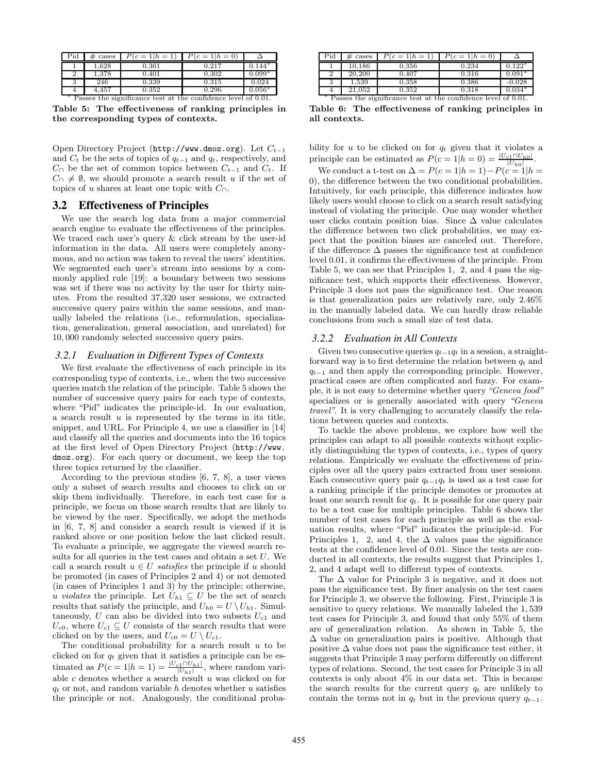| Pid | cases                                                           | $P(c=1 h=1)$ | $P(c=1 h=0)$ |          |  |  |  |
|-----|-----------------------------------------------------------------|--------------|--------------|----------|--|--|--|
|     | 1.628                                                           | 0.361        | 0.217        | 0.144    |  |  |  |
|     | 1.378                                                           | 0.401        | 0.302        | 0.099    |  |  |  |
|     | 246                                                             | 0.339        | 0.315        | 0.024    |  |  |  |
|     | 4.457                                                           | 0.352        | 0.296        | $0.056*$ |  |  |  |
|     | * Passes the significance test at the confidence level of 0.01. |              |              |          |  |  |  |

**Table 5: The effectiveness of ranking principles in the corresponding types of contexts.**

Open Directory Project (http://www.dmoz.org). Let  $C_{t-1}$ and  $C_t$  be the sets of topics of  $q_{t-1}$  and  $q_t$ , respectively, and  $C_{\cap}$  be the set of common topics between  $C_{t-1}$  and  $C_t$ . If  $C_{\cap} \neq \emptyset$ , we should promote a search result u if the set of topics of u shares at least one topic with  $C_{\cap}$ .

#### **3.2 Effectiveness of Principles**

We use the search log data from a major commercial search engine to evaluate the effectiveness of the principles. We traced each user's query & click stream by the user-id information in the data. All users were completely anonymous, and no action was taken to reveal the users' identities. We segmented each user's stream into sessions by a commonly applied rule [19]: a boundary between two sessions was set if there was no activity by the user for thirty minutes. From the resulted 37,320 user sessions, we extracted successive query pairs within the same sessions, and manually labeled the relations (i.e., reformulation, specialization, generalization, general association, and unrelated) for 10, 000 randomly selected successive query pairs.

#### *3.2.1 Evaluation in Different Types of Contexts*

We first evaluate the effectiveness of each principle in its corresponding type of contexts, i.e., when the two successive queries match the relation of the principle. Table 5 shows the number of successive query pairs for each type of contexts, where "Pid" indicates the principle-id. In our evaluation, a search result  $u$  is represented by the terms in its title, snippet, and URL. For Principle 4, we use a classifier in [14] and classify all the queries and documents into the 16 topics at the first level of Open Directory Project (http://www. dmoz.org). For each query or document, we keep the top three topics returned by the classifier.

According to the previous studies [6, 7, 8], a user views only a subset of search results and chooses to click on or skip them individually. Therefore, in each test case for a principle, we focus on those search results that are likely to be viewed by the user. Specifically, we adopt the methods in [6, 7, 8] and consider a search result is viewed if it is ranked above or one position below the last clicked result. To evaluate a principle, we aggregate the viewed search results for all queries in the test cases and obtain a set  $U$ . We call a search result  $u \in U$  *satisfies* the principle if u should be promoted (in cases of Principles 2 and 4) or not demoted (in cases of Principles 1 and 3) by the principle; otherwise, u *violates* the principle. Let  $U_{h1} \subseteq U$  be the set of search results that satisfy the principle, and  $U_{h0} = U \setminus U_{h1}$ . Simultaneously, U can also be divided into two subsets  $U_{c1}$  and  $U_{c0}$ , where  $U_{c1} \subseteq U$  consists of the search results that were clicked on by the users, and  $U_{c0} = U \setminus U_{c1}$ .

The conditional probability for a search result  $u$  to be clicked on for  $q_t$  given that it satisfies a principle can be estimated as  $P(c=1|h=1) = \frac{|U_{c1} \cap U_{h1}|}{|U_{h1}|}$ , where random variable c denotes whether a search result u was clicked on for  $q_t$  or not, and random variable h denotes whether u satisfies the principle or not. Analogously, the conditional proba-

| Pid | cases                                                         | $P(c=1 h=1]$ | $P(c=1 h=0)$ |          |  |  |  |
|-----|---------------------------------------------------------------|--------------|--------------|----------|--|--|--|
|     | 10.186                                                        | 0.356        | 0.234        | 0.122    |  |  |  |
| 2   | 20,200                                                        | 0.407        | 0.316        | 0.091    |  |  |  |
| 3   | 1.539                                                         | 0.358        | 0.386        | $-0.028$ |  |  |  |
|     | 21.052                                                        | 0.352        | 0.318        | 0.034    |  |  |  |
|     | Passes the significance test at the confidence level of 0.01. |              |              |          |  |  |  |

**Table 6: The effectiveness of ranking principles in all contexts.**

bility for u to be clicked on for  $q_t$  given that it violates a principle can be estimated as  $P(c=1|h=0) = \frac{|U_{c1} \cap U_{h0}|}{|U_{h0}|}$ .

We conduct a t-test on  $\Delta = P(c=1|h=1)-P(c=1|h=$ 0), the difference between the two conditional probabilities. Intuitively, for each principle, this difference indicates how likely users would choose to click on a search result satisfying instead of violating the principle. One may wonder whether user clicks contain position bias. Since  $\Delta$  value calculates the difference between two click probabilities, we may expect that the position biases are canceled out. Therefore, if the difference  $\Delta$  passes the significance test at confidence level 0.01, it confirms the effectiveness of the principle. From Table 5, we can see that Principles 1, 2, and 4 pass the significance test, which supports their effectiveness. However, Principle 3 does not pass the significance test. One reason is that generalization pairs are relatively rare, only 2.46% in the manually labeled data. We can hardly draw reliable conclusions from such a small size of test data.

#### *3.2.2 Evaluation in All Contexts*

Given two consecutive queries  $q_{t-1}q_t$  in a session, a straightforward way is to first determine the relation between  $q_t$  and  $q_{t-1}$  and then apply the corresponding principle. However, practical cases are often complicated and fuzzy. For example, it is not easy to determine whether query *"Geneva food"* specializes or is generally associated with query *"Geneva travel"*. It is very challenging to accurately classify the relations between queries and contexts.

To tackle the above problems, we explore how well the principles can adapt to all possible contexts without explicitly distinguishing the types of contexts, i.e., types of query relations. Empirically we evaluate the effectiveness of principles over all the query pairs extracted from user sessions. Each consecutive query pair  $q_{t-1}q_t$  is used as a test case for a ranking principle if the principle demotes or promotes at least one search result for  $q_t$ . It is possible for one query pair to be a test case for multiple principles. Table 6 shows the number of test cases for each principle as well as the evaluation results, where "Pid" indicates the principle-id. For Principles 1, 2, and 4, the  $\Delta$  values pass the significance tests at the confidence level of 0.01. Since the tests are conducted in all contexts, the results suggest that Principles 1, 2, and 4 adapt well to different types of contexts.

The  $\Delta$  value for Principle 3 is negative, and it does not pass the significance test. By finer analysis on the test cases for Principle 3, we observe the following. First, Principle 3 is sensitive to query relations. We manually labeled the 1, 539 test cases for Principle 3, and found that only 55% of them are of generalization relation. As shown in Table 5, the  $\Delta$  value on generalization pairs is positive. Although that positive  $\Delta$  value does not pass the significance test either, it suggests that Principle 3 may perform differently on different types of relations. Second, the test cases for Principle 3 in all contexts is only about 4% in our data set. This is because the search results for the current query  $q_t$  are unlikely to contain the terms not in  $q_t$  but in the previous query  $q_{t-1}$ .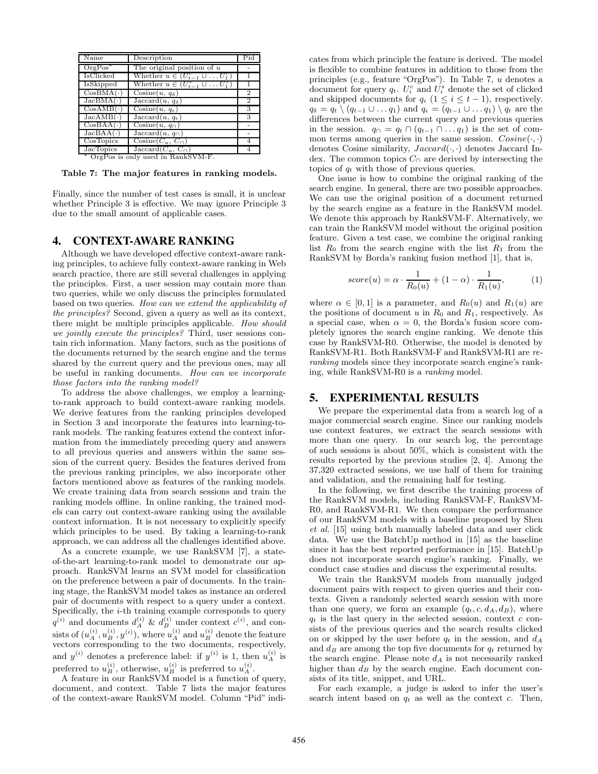| $OrgPos^*$<br>The original position of $u$<br><b>IsClicked</b><br>Whether $u \in (U_{t-1}^c \cup \ldots U_1^c)$<br>IsSkipped<br>Whether $u \in (U_{t-1}^s \cup \ldots U)$<br>CosBMA(<br>$Cosine(u, q_\delta)$<br>$\overline{2}$<br>JacBMA(·<br>$\text{Jaccard}(u, q_\delta)$<br>2<br>CosAMB(·)<br>$\overline{\text{Cosine}(u, q_{\epsilon})}$<br>3<br>$JacAMB(\cdot)$<br>$\text{Jaccard}(u, q_{\epsilon})$<br>3<br>CosBAA(·)<br>Cosine(u, q <sub>0</sub> ) | $\overline{\text{Name}}$ |
|------------------------------------------------------------------------------------------------------------------------------------------------------------------------------------------------------------------------------------------------------------------------------------------------------------------------------------------------------------------------------------------------------------------------------------------------------------|--------------------------|
|                                                                                                                                                                                                                                                                                                                                                                                                                                                            |                          |
|                                                                                                                                                                                                                                                                                                                                                                                                                                                            |                          |
|                                                                                                                                                                                                                                                                                                                                                                                                                                                            |                          |
|                                                                                                                                                                                                                                                                                                                                                                                                                                                            |                          |
|                                                                                                                                                                                                                                                                                                                                                                                                                                                            |                          |
|                                                                                                                                                                                                                                                                                                                                                                                                                                                            |                          |
|                                                                                                                                                                                                                                                                                                                                                                                                                                                            |                          |
|                                                                                                                                                                                                                                                                                                                                                                                                                                                            |                          |
| $JacBAA(\cdot)$<br>Jaccard $(u, q_0)$                                                                                                                                                                                                                                                                                                                                                                                                                      |                          |
| CosTopics<br>$\overline{\text{Cosine}(C_u, C_{\cap})}$<br>4                                                                                                                                                                                                                                                                                                                                                                                                |                          |
| $\text{Jaccard}(\overline{C}_u, \overline{C}_{\cap})$<br><b>JacTopics</b><br>4<br>* OrgPos is only used in RankSVM-F.                                                                                                                                                                                                                                                                                                                                      |                          |

**Table 7: The major features in ranking models.**

Finally, since the number of test cases is small, it is unclear whether Principle 3 is effective. We may ignore Principle 3 due to the small amount of applicable cases.

# **4. CONTEXT-AWARE RANKING**

Although we have developed effective context-aware ranking principles, to achieve fully context-aware ranking in Web search practice, there are still several challenges in applying the principles. First, a user session may contain more than two queries, while we only discuss the principles formulated based on two queries. *How can we extend the applicability of the principles?* Second, given a query as well as its context, there might be multiple principles applicable. *How should we jointly execute the principles?* Third, user sessions contain rich information. Many factors, such as the positions of the documents returned by the search engine and the terms shared by the current query and the previous ones, may all be useful in ranking documents. *How can we incorporate those factors into the ranking model?*

To address the above challenges, we employ a learningto-rank approach to build context-aware ranking models. We derive features from the ranking principles developed in Section 3 and incorporate the features into learning-torank models. The ranking features extend the context information from the immediately preceding query and answers to all previous queries and answers within the same session of the current query. Besides the features derived from the previous ranking principles, we also incorporate other factors mentioned above as features of the ranking models. We create training data from search sessions and train the ranking models offline. In online ranking, the trained models can carry out context-aware ranking using the available context information. It is not necessary to explicitly specify which principles to be used. By taking a learning-to-rank approach, we can address all the challenges identified above.

As a concrete example, we use RankSVM [7], a stateof-the-art learning-to-rank model to demonstrate our approach. RankSVM learns an SVM model for classification on the preference between a pair of documents. In the training stage, the RankSVM model takes as instance an ordered pair of documents with respect to a query under a context. Specifically, the  $i$ -th training example corresponds to query  $q^{(i)}$  and documents  $d_A^{(i)}$  &  $d_B^{(i)}$  under context  $c^{(i)}$ , and consists of  $(u_A^{(i)}, u_B^{(i)}, y^{(i)})$ , where  $u_A^{(i)}$  and  $u_B^{(i)}$  denote the feature vectors corresponding to the two documents, respectively, and  $y^{(i)}$  denotes a preference label: if  $y^{(i)}$  is 1, then  $u_A^{(i)}$  is preferred to  $u_B^{(i)}$ , otherwise,  $u_B^{(i)}$  is preferred to  $u_A^{(i)}$ .

A feature in our RankSVM model is a function of query, document, and context. Table 7 lists the major features of the context-aware RankSVM model. Column "Pid" indicates from which principle the feature is derived. The model is flexible to combine features in addition to those from the principles (e.g., feature "OrgPos"). In Table 7, u denotes a document for query  $q_t$ .  $U_i^c$  and  $U_i^s$  denote the set of clicked and skipped documents for  $q_i$  (1  $\leq i \leq t-1$ ), respectively.  $q_\delta = q_t \setminus (q_{t-1} \cup \ldots q_1)$  and  $q_\epsilon = (q_{t-1} \cup \ldots q_1) \setminus q_t$  are the differences between the current query and previous queries in the session.  $q_{\cap} = q_t \cap (q_{t-1} \cap ... q_1)$  is the set of common terms among queries in the same session.  $Cosine(\cdot, \cdot)$ denotes Cosine similarity,  $Jaccard(\cdot, \cdot)$  denotes Jaccard Index. The common topics  $C_{\cap}$  are derived by intersecting the topics of  $q_t$  with those of previous queries.

One issue is how to combine the original ranking of the search engine. In general, there are two possible approaches. We can use the original position of a document returned by the search engine as a feature in the RankSVM model. We denote this approach by RankSVM-F. Alternatively, we can train the RankSVM model without the original position feature. Given a test case, we combine the original ranking list  $R_0$  from the search engine with the list  $R_1$  from the RankSVM by Borda's ranking fusion method [1], that is,

$$
score(u) = \alpha \cdot \frac{1}{R_0(u)} + (1 - \alpha) \cdot \frac{1}{R_1(u)},
$$
 (1)

where  $\alpha \in [0, 1]$  is a parameter, and  $R_0(u)$  and  $R_1(u)$  are the positions of document u in  $R_0$  and  $R_1$ , respectively. As a special case, when  $\alpha = 0$ , the Borda's fusion score completely ignores the search engine ranking. We denote this case by RankSVM-R0. Otherwise, the model is denoted by RankSVM-R1. Both RankSVM-F and RankSVM-R1 are *reranking* models since they incorporate search engine's ranking, while RankSVM-R0 is a *ranking* model.

# **5. EXPERIMENTAL RESULTS**

We prepare the experimental data from a search log of a major commercial search engine. Since our ranking models use context features, we extract the search sessions with more than one query. In our search log, the percentage of such sessions is about 50%, which is consistent with the results reported by the previous studies [2, 4]. Among the 37,320 extracted sessions, we use half of them for training and validation, and the remaining half for testing.

In the following, we first describe the training process of the RankSVM models, including RankSVM-F, RankSVM-R0, and RankSVM-R1. We then compare the performance of our RankSVM models with a baseline proposed by Shen *et al.* [15] using both manually labeled data and user click data. We use the BatchUp method in [15] as the baseline since it has the best reported performance in [15]. BatchUp does not incorporate search engine's ranking. Finally, we conduct case studies and discuss the experimental results.

We train the RankSVM models from manually judged document pairs with respect to given queries and their contexts. Given a randomly selected search session with more than one query, we form an example  $(q_t, c, d_A, d_B)$ , where  $q_t$  is the last query in the selected session, context c consists of the previous queries and the search results clicked on or skipped by the user before  $q_t$  in the session, and  $d_A$ and  $d_B$  are among the top five documents for  $q_t$  returned by the search engine. Please note  $d_A$  is not necessarily ranked higher than  $d_B$  by the search engine. Each document consists of its title, snippet, and URL.

For each example, a judge is asked to infer the user's search intent based on  $q_t$  as well as the context c. Then,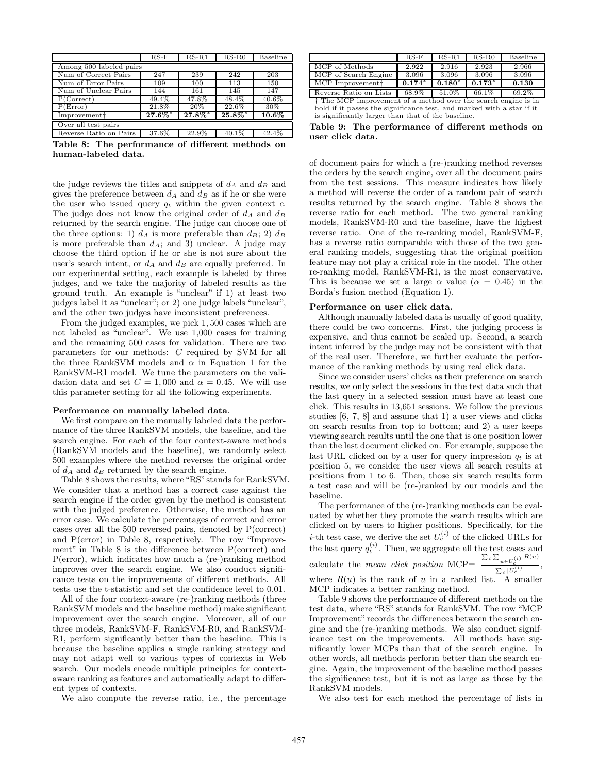|                         | $RS-F$   | $RS-R1$  | $RS-R0$  | Baseline |  |  |
|-------------------------|----------|----------|----------|----------|--|--|
| Among 500 labeled pairs |          |          |          |          |  |  |
| Num of Correct Pairs    | 247      | 239      | 242      | 203      |  |  |
| Num of Error Pairs      | 109      | 100      | 113      | 150      |  |  |
| Num of Unclear Pairs    | 144      | 161      | 145      | 147      |  |  |
| P(Correct)              | 49.4%    | 47.8%    | 48.4%    | 40.6%    |  |  |
| P(Error)                | 21.8%    | 20%      | 22.6%    | $30\%$   |  |  |
| Improvement†            | $27.6\%$ | $27.8\%$ | $25.8\%$ | $10.6\%$ |  |  |
| Over all test pairs     |          |          |          |          |  |  |
| Reverse Ratio on Pairs  | 37.6%    | 22.9%    |          | 42.4%    |  |  |

**Table 8: The performance of different methods on human-labeled data.**

the judge reviews the titles and snippets of  $d_A$  and  $d_B$  and gives the preference between  $d_A$  and  $d_B$  as if he or she were the user who issued query  $q_t$  within the given context  $c$ . The judge does not know the original order of  $d_A$  and  $d_B$ returned by the search engine. The judge can choose one of the three options: 1)  $d_A$  is more preferable than  $d_B$ ; 2)  $d_B$ is more preferable than  $d_A$ ; and 3) unclear. A judge may choose the third option if he or she is not sure about the user's search intent, or  $d_A$  and  $d_B$  are equally preferred. In our experimental setting, each example is labeled by three judges, and we take the majority of labeled results as the ground truth. An example is "unclear" if 1) at least two judges label it as "unclear"; or 2) one judge labels "unclear", and the other two judges have inconsistent preferences.

From the judged examples, we pick 1, 500 cases which are not labeled as "unclear". We use 1,000 cases for training and the remaining 500 cases for validation. There are two parameters for our methods: C required by SVM for all the three RankSVM models and  $\alpha$  in Equation 1 for the RankSVM-R1 model. We tune the parameters on the validation data and set  $C = 1,000$  and  $\alpha = 0.45$ . We will use this parameter setting for all the following experiments.

#### **Performance on manually labeled data**.

We first compare on the manually labeled data the performance of the three RankSVM models, the baseline, and the search engine. For each of the four context-aware methods (RankSVM models and the baseline), we randomly select 500 examples where the method reverses the original order of  $d_A$  and  $d_B$  returned by the search engine.

Table 8 shows the results, where "RS" stands for RankSVM. We consider that a method has a correct case against the search engine if the order given by the method is consistent with the judged preference. Otherwise, the method has an error case. We calculate the percentages of correct and error cases over all the 500 reversed pairs, denoted by P(correct) and P(error) in Table 8, respectively. The row "Improvement" in Table 8 is the difference between P(correct) and P(error), which indicates how much a (re-)ranking method improves over the search engine. We also conduct significance tests on the improvements of different methods. All tests use the t-statistic and set the confidence level to 0.01.

All of the four context-aware (re-)ranking methods (three RankSVM models and the baseline method) make significant improvement over the search engine. Moreover, all of our three models, RankSVM-F, RankSVM-R0, and RankSVM-R1, perform significantly better than the baseline. This is because the baseline applies a single ranking strategy and may not adapt well to various types of contexts in Web search. Our models encode multiple principles for contextaware ranking as features and automatically adapt to different types of contexts.

We also compute the reverse ratio, i.e., the percentage

|                                                                | $RS-F$   | $RS-R1$  | $RS-R0$  | Baseline |
|----------------------------------------------------------------|----------|----------|----------|----------|
| MCP of Methods                                                 | 2.922    | 2.916    | 2.923    | 2.966    |
| MCP of Search Engine                                           | 3.096    | 3.096    | 3.096    | 3.096    |
| MCP Improvement                                                | $0.174*$ | $0.180*$ | $0.173*$ | 0.130    |
| Reverse Ratio on Lists                                         | 68.9%    | 51.0%    | 66.1%    | 69.2%    |
| t The MCP improvement of a method over the search engine is in |          |          |          |          |

† The MCP improvement of a method over the search engine is in bold if it passes the significance test, and marked with a star if it is significantly larger than that of the baseline.

**Table 9: The performance of different methods on user click data.**

of document pairs for which a (re-)ranking method reverses the orders by the search engine, over all the document pairs from the test sessions. This measure indicates how likely a method will reverse the order of a random pair of search results returned by the search engine. Table 8 shows the reverse ratio for each method. The two general ranking models, RankSVM-R0 and the baseline, have the highest reverse ratio. One of the re-ranking model, RankSVM-F, has a reverse ratio comparable with those of the two general ranking models, suggesting that the original position feature may not play a critical role in the model. The other re-ranking model, RankSVM-R1, is the most conservative. This is because we set a large  $\alpha$  value  $(\alpha = 0.45)$  in the Borda's fusion method (Equation 1).

#### **Performance on user click data.**

Although manually labeled data is usually of good quality, there could be two concerns. First, the judging process is expensive, and thus cannot be scaled up. Second, a search intent inferred by the judge may not be consistent with that of the real user. Therefore, we further evaluate the performance of the ranking methods by using real click data.

Since we consider users' clicks as their preference on search results, we only select the sessions in the test data such that the last query in a selected session must have at least one click. This results in 13,651 sessions. We follow the previous studies [6, 7, 8] and assume that 1) a user views and clicks on search results from top to bottom; and 2) a user keeps viewing search results until the one that is one position lower than the last document clicked on. For example, suppose the last URL clicked on by a user for query impression  $q_t$  is at position 5, we consider the user views all search results at positions from 1 to 6. Then, those six search results form a test case and will be (re-)ranked by our models and the baseline.

The performance of the (re-)ranking methods can be evaluated by whether they promote the search results which are clicked on by users to higher positions. Specifically, for the *i*-th test case, we derive the set  $U_c^{(i)}$  of the clicked URLs for the last query  $q_t^{(i)}$ . Then, we aggregate all the test cases and calculate the *mean click position* MCP=  $\frac{\sum_i \sum_{u \in U_c^{(i)}} R(u)}{\sum_{u \in U_c^{(i)}} R(u)}$  $\frac{u \in U_c^{\lambda'}}{\sum_i |U_c^{(i)}|},$ where  $R(u)$  is the rank of u in a ranked list. A smaller MCP indicates a better ranking method.

Table 9 shows the performance of different methods on the test data, where "RS" stands for RankSVM. The row "MCP Improvement" records the differences between the search engine and the (re-)ranking methods. We also conduct significance test on the improvements. All methods have significantly lower MCPs than that of the search engine. In other words, all methods perform better than the search engine. Again, the improvement of the baseline method passes the significance test, but it is not as large as those by the RankSVM models.

We also test for each method the percentage of lists in